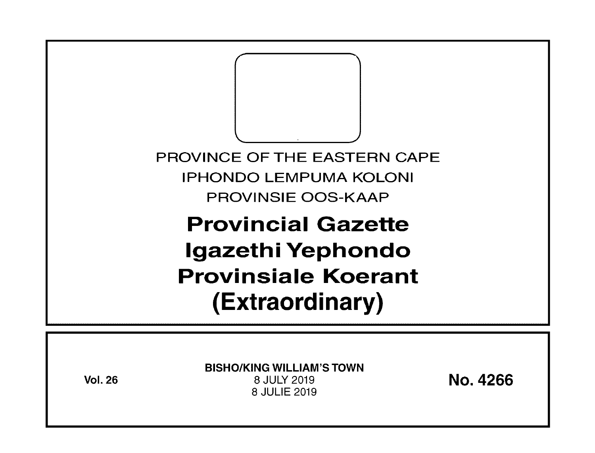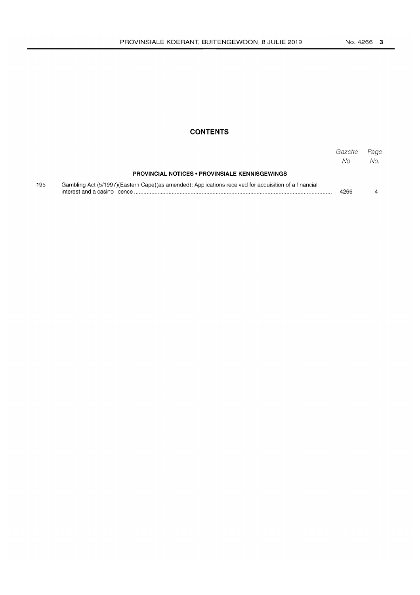## **CONTENTS**

|     |                                                                                                         | Gazette<br>No. | Page<br>No. |
|-----|---------------------------------------------------------------------------------------------------------|----------------|-------------|
|     | <b>PROVINCIAL NOTICES • PROVINSIALE KENNISGEWINGS</b>                                                   |                |             |
| 195 | Gambling Act (5/1997) (Eastern Cape) (as amended): Applications received for acquisition of a financial | 4266           |             |